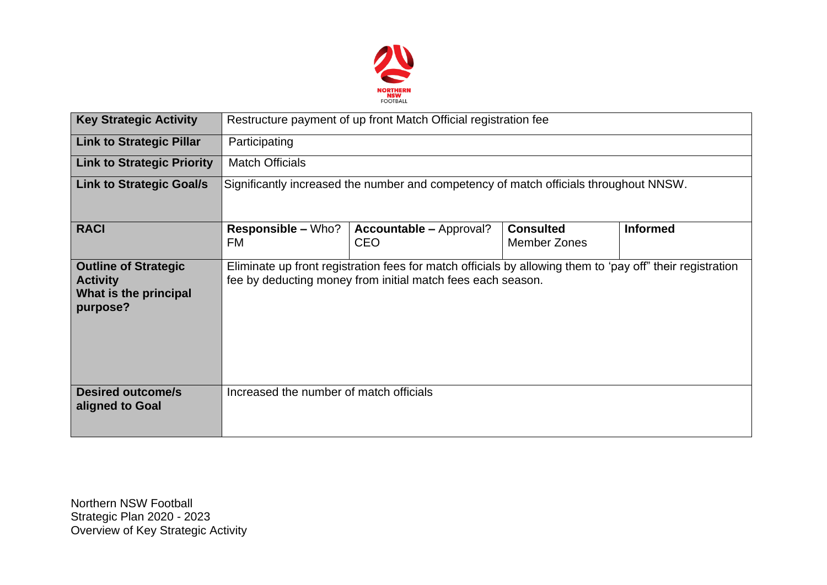

| <b>Key Strategic Activity</b>                                                       | Restructure payment of up front Match Official registration fee                                                                                                          |                                              |                                         |                 |  |  |  |  |
|-------------------------------------------------------------------------------------|--------------------------------------------------------------------------------------------------------------------------------------------------------------------------|----------------------------------------------|-----------------------------------------|-----------------|--|--|--|--|
| <b>Link to Strategic Pillar</b>                                                     | Participating                                                                                                                                                            |                                              |                                         |                 |  |  |  |  |
| <b>Link to Strategic Priority</b>                                                   | <b>Match Officials</b>                                                                                                                                                   |                                              |                                         |                 |  |  |  |  |
| <b>Link to Strategic Goal/s</b>                                                     | Significantly increased the number and competency of match officials throughout NNSW.                                                                                    |                                              |                                         |                 |  |  |  |  |
| <b>RACI</b>                                                                         | <b>Responsible - Who?</b><br>FM                                                                                                                                          | <b>Accountable – Approval?</b><br><b>CEO</b> | <b>Consulted</b><br><b>Member Zones</b> | <b>Informed</b> |  |  |  |  |
| <b>Outline of Strategic</b><br><b>Activity</b><br>What is the principal<br>purpose? | Eliminate up front registration fees for match officials by allowing them to 'pay off" their registration<br>fee by deducting money from initial match fees each season. |                                              |                                         |                 |  |  |  |  |
| <b>Desired outcome/s</b><br>aligned to Goal                                         | Increased the number of match officials                                                                                                                                  |                                              |                                         |                 |  |  |  |  |

Northern NSW Football Strategic Plan 2020 - 2023 Overview of Key Strategic Activity